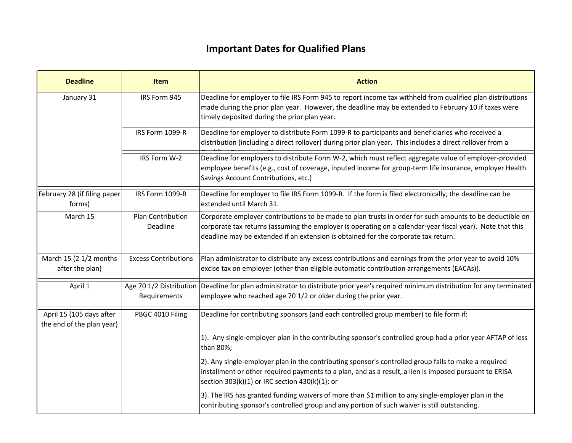## **Important Dates for Qualified Plans**

| <b>Deadline</b>                                       | Item                                    | <b>Action</b>                                                                                                                                                                                                                                                                                               |
|-------------------------------------------------------|-----------------------------------------|-------------------------------------------------------------------------------------------------------------------------------------------------------------------------------------------------------------------------------------------------------------------------------------------------------------|
| January 31                                            | IRS Form 945                            | Deadline for employer to file IRS Form 945 to report income tax withheld from qualified plan distributions<br>made during the prior plan year. However, the deadline may be extended to February 10 if taxes were<br>timely deposited during the prior plan year.                                           |
|                                                       | IRS Form 1099-R                         | Deadline for employer to distribute Form 1099-R to participants and beneficiaries who received a<br>distribution (including a direct rollover) during prior plan year. This includes a direct rollover from a                                                                                               |
|                                                       | IRS Form W-2                            | Deadline for employers to distribute Form W-2, which must reflect aggregate value of employer-provided<br>employee benefits (e.g., cost of coverage, inputed income for group-term life insurance, employer Health<br>Savings Account Contributions, etc.)                                                  |
| February 28 (if filing paper<br>forms)                | IRS Form 1099-R                         | Deadline for employer to file IRS Form 1099-R. If the form is filed electronically, the deadline can be<br>extended until March 31.                                                                                                                                                                         |
| March 15                                              | Plan Contribution<br>Deadline           | Corporate employer contributions to be made to plan trusts in order for such amounts to be deductible on<br>corporate tax returns (assuming the employer is operating on a calendar-year fiscal year). Note that this<br>deadline may be extended if an extension is obtained for the corporate tax return. |
| March 15 (2 1/2 months<br>after the plan)             | <b>Excess Contributions</b>             | Plan administrator to distribute any excess contributions and earnings from the prior year to avoid 10%<br>excise tax on employer (other than eligible automatic contribution arrangements (EACAs)).                                                                                                        |
| April 1                                               | Age 70 1/2 Distribution<br>Requirements | Deadline for plan administrator to distribute prior year's required minimum distribution for any terminated<br>employee who reached age 70 1/2 or older during the prior year.                                                                                                                              |
| April 15 (105 days after<br>the end of the plan year) | PBGC 4010 Filing                        | Deadline for contributing sponsors (and each controlled group member) to file form if:                                                                                                                                                                                                                      |
|                                                       |                                         | 1). Any single-employer plan in the contributing sponsor's controlled group had a prior year AFTAP of less<br>than 80%;                                                                                                                                                                                     |
|                                                       |                                         | 2). Any single-employer plan in the contributing sponsor's controlled group fails to make a required<br>installment or other required payments to a plan, and as a result, a lien is imposed pursuant to ERISA<br>section 303(k)(1) or IRC section 430(k)(1); or                                            |
|                                                       |                                         | 3). The IRS has granted funding waivers of more than \$1 million to any single-employer plan in the<br>contributing sponsor's controlled group and any portion of such waiver is still outstanding.                                                                                                         |